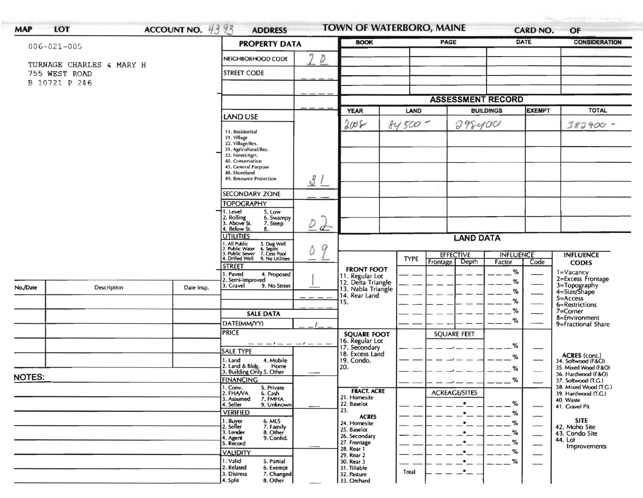| $006 - 021 - 005$              |                          | <b>PROPERTY DATA</b>               | <b>BOOK</b>                                                                                                                                      |                                      | <b>PAGE</b>                                                 |                                      | DATE                 | <b>CONSIDERATION</b>        |                                 |                                                             |
|--------------------------------|--------------------------|------------------------------------|--------------------------------------------------------------------------------------------------------------------------------------------------|--------------------------------------|-------------------------------------------------------------|--------------------------------------|----------------------|-----------------------------|---------------------------------|-------------------------------------------------------------|
|                                |                          | 7<br>D<br>NEIGHBORHOOD CODE        |                                                                                                                                                  |                                      |                                                             |                                      |                      |                             |                                 |                                                             |
|                                | TURNAGE CHARLES & MARY H |                                    |                                                                                                                                                  |                                      |                                                             |                                      |                      |                             |                                 |                                                             |
| 755 WEST ROAD<br>B 10721 P 246 |                          |                                    | <b>STREET CODE</b>                                                                                                                               |                                      |                                                             |                                      |                      |                             |                                 |                                                             |
|                                |                          |                                    |                                                                                                                                                  |                                      |                                                             |                                      |                      |                             |                                 |                                                             |
|                                |                          |                                    |                                                                                                                                                  | <b>ASSESSMENT RECORD</b>             |                                                             |                                      |                      |                             |                                 |                                                             |
|                                |                          | <b>LAND USE</b>                    |                                                                                                                                                  | <b>YEAR</b>                          | <b>LAND</b>                                                 | <b>BUILDINGS</b>                     |                      | <b>EXEMPT</b>               | <b>TOTAL</b>                    |                                                             |
|                                |                          |                                    |                                                                                                                                                  |                                      | 2005                                                        | $84500 -$                            |                      | 298400                      |                                 | $382900 -$                                                  |
|                                |                          |                                    | 11. Residential<br>21. Village                                                                                                                   |                                      |                                                             |                                      |                      |                             |                                 |                                                             |
|                                |                          |                                    | 22. Village/Res.<br>31. Agricultural/Res.                                                                                                        |                                      |                                                             |                                      |                      |                             |                                 |                                                             |
|                                |                          |                                    | 33. Forest/Agri.<br>40. Conservation                                                                                                             |                                      |                                                             |                                      |                      |                             |                                 |                                                             |
|                                |                          |                                    | 45. General Purpose<br>48. Shoreland                                                                                                             |                                      |                                                             |                                      |                      |                             |                                 |                                                             |
|                                |                          |                                    | 49. Resource Protection                                                                                                                          | 31                                   |                                                             |                                      |                      |                             |                                 |                                                             |
|                                |                          |                                    | SECONDARY ZONE                                                                                                                                   |                                      |                                                             |                                      |                      |                             |                                 |                                                             |
|                                |                          |                                    | <b>TOPOGRAPHY</b>                                                                                                                                |                                      |                                                             |                                      |                      |                             |                                 |                                                             |
|                                |                          |                                    | 1. Level<br>5. Low<br>2. Rolling<br>3. Above St.<br>6. Swampy                                                                                    |                                      |                                                             |                                      |                      |                             |                                 |                                                             |
|                                |                          |                                    | 7. Steep<br>4. Below St.<br>8.                                                                                                                   | $\overline{\mathcal{D}}$<br>$\sigma$ |                                                             |                                      |                      |                             |                                 |                                                             |
|                                |                          |                                    | <b>UTILITIES</b><br>1. All Public<br>2. Public Water<br>3. Public Sewer<br>4. Drilled Well<br>5. Dug Well<br>6. Septic<br>7. Cess Pool<br>9<br>Ó |                                      | <b>LAND DATA</b>                                            |                                      |                      |                             |                                 |                                                             |
|                                |                          |                                    |                                                                                                                                                  |                                      |                                                             | <b>EFFECTIVE</b><br><b>INFLUENCE</b> |                      |                             |                                 | <b>INFLUENCE</b>                                            |
|                                |                          |                                    | 9. No Utilities<br><b>STREET</b>                                                                                                                 |                                      |                                                             | <b>TYPE</b>                          | Frontage<br>Depth    | Factor                      | Code                            | <b>CODES</b>                                                |
|                                |                          |                                    | 4. Proposed<br>1. Paved                                                                                                                          |                                      | <b>FRONT FOOT</b>                                           |                                      |                      | $\%$                        |                                 | $1 = Vacancy$                                               |
| No./Date                       | Description              | Date Insp.                         | 2. Semi-Improved<br>3. Gravel<br>9. No Street                                                                                                    |                                      | 11. Regular Lot<br>12. Delta Triangle<br>13. Nabla Triangle |                                      |                      | %                           |                                 | 2=Excess Frontage<br>3=Topography<br>4=Size/Shape           |
|                                |                          |                                    |                                                                                                                                                  |                                      | 14. Rear Land                                               |                                      |                      | %                           |                                 | $5 =$ Access                                                |
|                                |                          |                                    |                                                                                                                                                  |                                      | 15.                                                         |                                      |                      | %<br>%                      |                                 | 6=Restrictions<br>7=Corner                                  |
|                                |                          |                                    | <b>SALE DATA</b>                                                                                                                                 |                                      |                                                             |                                      |                      | %                           |                                 | 8=Environment<br>9=Fractional Share                         |
|                                |                          |                                    | DATE(MM/YY)<br><b>PRICE</b>                                                                                                                      |                                      |                                                             |                                      | <b>SQUARE FEET</b>   |                             |                                 |                                                             |
|                                |                          |                                    | - - - / - - - / - - -                                                                                                                            |                                      | <b>SQUARE FOOT</b><br>16. Regular Lot                       |                                      |                      |                             |                                 |                                                             |
|                                |                          |                                    | <b>SALE TYPE</b>                                                                                                                                 |                                      | 17. Secondary<br>18. Excess Land                            |                                      |                      | %                           |                                 |                                                             |
|                                |                          |                                    | 1. Land<br>4. Mobile<br>2. Land & Bldg.<br>Home                                                                                                  |                                      | 19. Condo.<br>20.                                           |                                      |                      | %                           |                                 | ACRES (cont.)<br>34. Softwood (F&O)<br>35. Mixed Wood (F&O) |
| <b>NOTES:</b>                  |                          |                                    | 3. Building Only 5. Other                                                                                                                        |                                      |                                                             |                                      |                      | $\%$                        |                                 | 36. Hardwood (F&O)                                          |
|                                |                          |                                    | <b>FINANCING</b><br>1. Conv.<br>5. Private                                                                                                       |                                      | <b>FRACT. ACRE</b>                                          |                                      |                      | %                           |                                 | 37. Softwood (T.G.)<br>38. Mixed Wood (T.G.)                |
|                                |                          |                                    | 2. FHAVA<br>6. Cash<br>7. FMHA<br>3. Assumed                                                                                                     |                                      | 21. Homesite                                                |                                      | <b>ACREAGE/SITES</b> |                             |                                 | 39. Hardwood (T.G.)<br>40. Waste                            |
|                                |                          |                                    | 4. Seller<br>9. Unknown<br><b>VERIFIED</b>                                                                                                       |                                      | 22. Baselot<br>23.                                          |                                      | $\bullet$            | %                           |                                 | 41. Gravel Pit                                              |
|                                |                          |                                    | 1. Buyer<br>2. Seller<br>6. MLS                                                                                                                  |                                      | <b>ACRES</b><br>24. Homesite                                |                                      | $\bullet$            | %<br>%                      |                                 | <b>SITE</b>                                                 |
|                                |                          | 7. Family<br>3. Lender<br>8. Other |                                                                                                                                                  | 25. Baselot                          |                                                             | $\bullet$                            | %                    | $\overbrace{\hspace{15em}}$ | 42. Moho Site<br>43. Condo Site |                                                             |
|                                |                          |                                    | 9. Confid.<br>4. Agent<br>5. Record                                                                                                              |                                      | 26. Secondary<br>27. Frontage                               |                                      | ٠                    | %                           | —                               | 44. Lot<br>Improvements                                     |
|                                |                          |                                    | <b>VALIDITY</b>                                                                                                                                  |                                      | 28. Rear 1<br>29. Rear 2                                    |                                      | ٠                    | %                           |                                 |                                                             |
|                                |                          |                                    | 1. Valid<br>5. Partial                                                                                                                           |                                      | 30. Rear 3                                                  |                                      |                      | %                           |                                 |                                                             |
|                                |                          |                                    | 2. Related<br>6. Exempt                                                                                                                          |                                      | 31. Tillable                                                |                                      |                      |                             |                                 |                                                             |